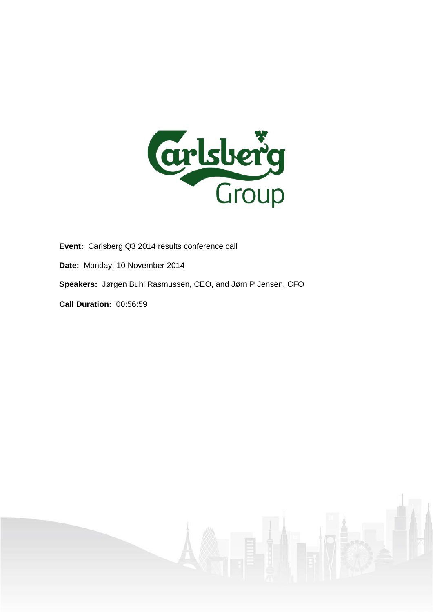

**Event:** Carlsberg Q3 2014 results conference call

- **Date:** Monday, 10 November 2014
- **Speakers:** Jørgen Buhl Rasmussen, CEO, and Jørn P Jensen, CFO

**Call Duration:** 00:56:59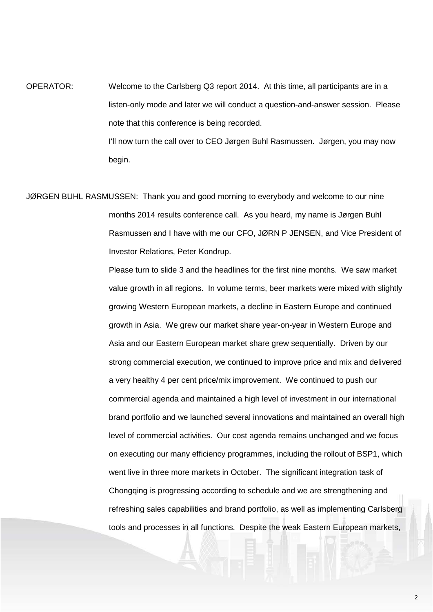OPERATOR: Welcome to the Carlsberg Q3 report 2014. At this time, all participants are in a listen-only mode and later we will conduct a question-and-answer session. Please note that this conference is being recorded. I'll now turn the call over to CEO Jørgen Buhl Rasmussen. Jørgen, you may now begin.

JØRGEN BUHL RASMUSSEN: Thank you and good morning to everybody and welcome to our nine months 2014 results conference call. As you heard, my name is Jørgen Buhl Rasmussen and I have with me our CFO, JØRN P JENSEN, and Vice President of Investor Relations, Peter Kondrup.

> Please turn to slide 3 and the headlines for the first nine months. We saw market value growth in all regions. In volume terms, beer markets were mixed with slightly growing Western European markets, a decline in Eastern Europe and continued growth in Asia. We grew our market share year-on-year in Western Europe and Asia and our Eastern European market share grew sequentially. Driven by our strong commercial execution, we continued to improve price and mix and delivered a very healthy 4 per cent price/mix improvement. We continued to push our commercial agenda and maintained a high level of investment in our international brand portfolio and we launched several innovations and maintained an overall high level of commercial activities. Our cost agenda remains unchanged and we focus on executing our many efficiency programmes, including the rollout of BSP1, which went live in three more markets in October. The significant integration task of Chongqing is progressing according to schedule and we are strengthening and refreshing sales capabilities and brand portfolio, as well as implementing Carlsberg tools and processes in all functions. Despite the weak Eastern European markets,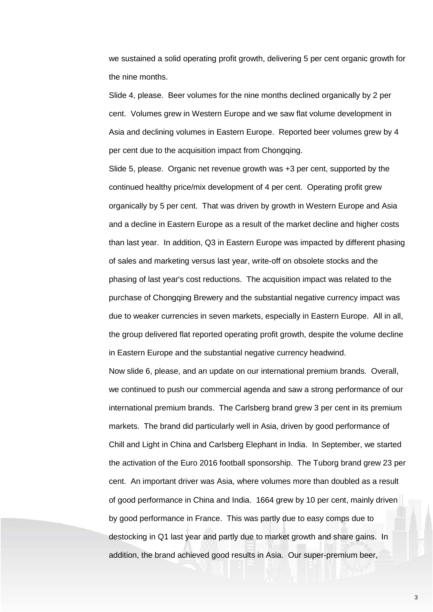we sustained a solid operating profit growth, delivering 5 per cent organic growth for the nine months.

Slide 4, please. Beer volumes for the nine months declined organically by 2 per cent. Volumes grew in Western Europe and we saw flat volume development in Asia and declining volumes in Eastern Europe. Reported beer volumes grew by 4 per cent due to the acquisition impact from Chongqing.

Slide 5, please. Organic net revenue growth was +3 per cent, supported by the continued healthy price/mix development of 4 per cent. Operating profit grew organically by 5 per cent. That was driven by growth in Western Europe and Asia and a decline in Eastern Europe as a result of the market decline and higher costs than last year. In addition, Q3 in Eastern Europe was impacted by different phasing of sales and marketing versus last year, write-off on obsolete stocks and the phasing of last year's cost reductions. The acquisition impact was related to the purchase of Chongqing Brewery and the substantial negative currency impact was due to weaker currencies in seven markets, especially in Eastern Europe. All in all, the group delivered flat reported operating profit growth, despite the volume decline in Eastern Europe and the substantial negative currency headwind.

Now slide 6, please, and an update on our international premium brands. Overall, we continued to push our commercial agenda and saw a strong performance of our international premium brands. The Carlsberg brand grew 3 per cent in its premium markets. The brand did particularly well in Asia, driven by good performance of Chill and Light in China and Carlsberg Elephant in India. In September, we started the activation of the Euro 2016 football sponsorship. The Tuborg brand grew 23 per cent. An important driver was Asia, where volumes more than doubled as a result of good performance in China and India. 1664 grew by 10 per cent, mainly driven by good performance in France. This was partly due to easy comps due to destocking in Q1 last year and partly due to market growth and share gains. In addition, the brand achieved good results in Asia. Our super-premium beer,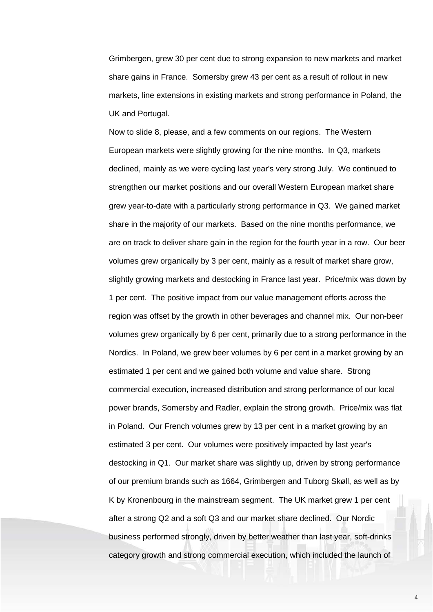Grimbergen, grew 30 per cent due to strong expansion to new markets and market share gains in France. Somersby grew 43 per cent as a result of rollout in new markets, line extensions in existing markets and strong performance in Poland, the UK and Portugal.

Now to slide 8, please, and a few comments on our regions. The Western European markets were slightly growing for the nine months. In Q3, markets declined, mainly as we were cycling last year's very strong July. We continued to strengthen our market positions and our overall Western European market share grew year-to-date with a particularly strong performance in Q3. We gained market share in the majority of our markets. Based on the nine months performance, we are on track to deliver share gain in the region for the fourth year in a row. Our beer volumes grew organically by 3 per cent, mainly as a result of market share grow, slightly growing markets and destocking in France last year. Price/mix was down by 1 per cent. The positive impact from our value management efforts across the region was offset by the growth in other beverages and channel mix. Our non-beer volumes grew organically by 6 per cent, primarily due to a strong performance in the Nordics. In Poland, we grew beer volumes by 6 per cent in a market growing by an estimated 1 per cent and we gained both volume and value share. Strong commercial execution, increased distribution and strong performance of our local power brands, Somersby and Radler, explain the strong growth. Price/mix was flat in Poland. Our French volumes grew by 13 per cent in a market growing by an estimated 3 per cent. Our volumes were positively impacted by last year's destocking in Q1. Our market share was slightly up, driven by strong performance of our premium brands such as 1664, Grimbergen and Tuborg Skøll, as well as by K by Kronenbourg in the mainstream segment. The UK market grew 1 per cent after a strong Q2 and a soft Q3 and our market share declined. Our Nordic business performed strongly, driven by better weather than last year, soft-drinks category growth and strong commercial execution, which included the launch of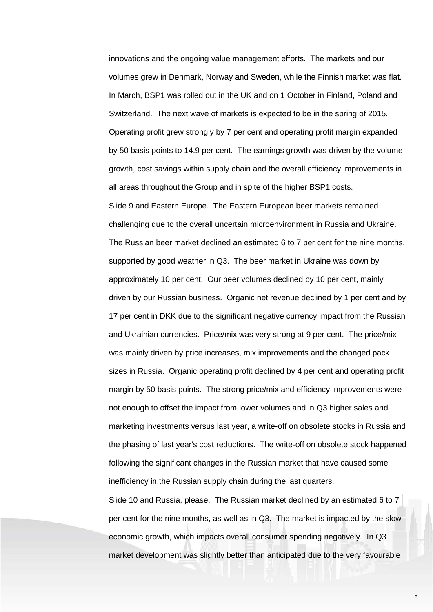innovations and the ongoing value management efforts. The markets and our volumes grew in Denmark, Norway and Sweden, while the Finnish market was flat. In March, BSP1 was rolled out in the UK and on 1 October in Finland, Poland and Switzerland. The next wave of markets is expected to be in the spring of 2015. Operating profit grew strongly by 7 per cent and operating profit margin expanded by 50 basis points to 14.9 per cent. The earnings growth was driven by the volume growth, cost savings within supply chain and the overall efficiency improvements in all areas throughout the Group and in spite of the higher BSP1 costs. Slide 9 and Eastern Europe. The Eastern European beer markets remained challenging due to the overall uncertain microenvironment in Russia and Ukraine. The Russian beer market declined an estimated 6 to 7 per cent for the nine months, supported by good weather in Q3. The beer market in Ukraine was down by approximately 10 per cent. Our beer volumes declined by 10 per cent, mainly driven by our Russian business. Organic net revenue declined by 1 per cent and by 17 per cent in DKK due to the significant negative currency impact from the Russian and Ukrainian currencies. Price/mix was very strong at 9 per cent. The price/mix was mainly driven by price increases, mix improvements and the changed pack sizes in Russia. Organic operating profit declined by 4 per cent and operating profit margin by 50 basis points. The strong price/mix and efficiency improvements were not enough to offset the impact from lower volumes and in Q3 higher sales and marketing investments versus last year, a write-off on obsolete stocks in Russia and the phasing of last year's cost reductions. The write-off on obsolete stock happened following the significant changes in the Russian market that have caused some inefficiency in the Russian supply chain during the last quarters. Slide 10 and Russia, please. The Russian market declined by an estimated 6 to 7

economic growth, which impacts overall consumer spending negatively. In Q3 market development was slightly better than anticipated due to the very favourable

per cent for the nine months, as well as in Q3. The market is impacted by the slow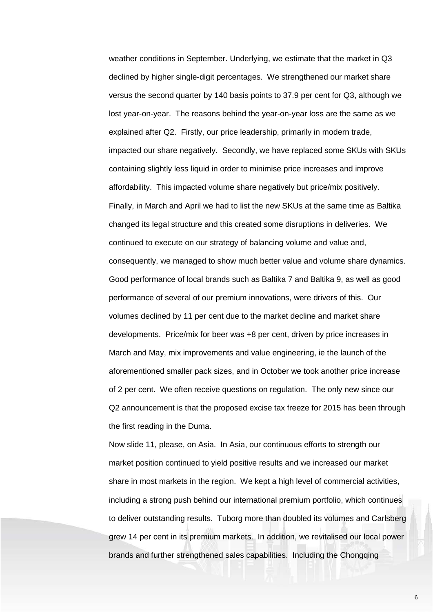weather conditions in September. Underlying, we estimate that the market in Q3 declined by higher single-digit percentages. We strengthened our market share versus the second quarter by 140 basis points to 37.9 per cent for Q3, although we lost year-on-year. The reasons behind the year-on-year loss are the same as we explained after Q2. Firstly, our price leadership, primarily in modern trade, impacted our share negatively. Secondly, we have replaced some SKUs with SKUs containing slightly less liquid in order to minimise price increases and improve affordability. This impacted volume share negatively but price/mix positively. Finally, in March and April we had to list the new SKUs at the same time as Baltika changed its legal structure and this created some disruptions in deliveries. We continued to execute on our strategy of balancing volume and value and, consequently, we managed to show much better value and volume share dynamics. Good performance of local brands such as Baltika 7 and Baltika 9, as well as good performance of several of our premium innovations, were drivers of this. Our volumes declined by 11 per cent due to the market decline and market share developments. Price/mix for beer was +8 per cent, driven by price increases in March and May, mix improvements and value engineering, ie the launch of the aforementioned smaller pack sizes, and in October we took another price increase of 2 per cent. We often receive questions on regulation. The only new since our Q2 announcement is that the proposed excise tax freeze for 2015 has been through the first reading in the Duma.

Now slide 11, please, on Asia. In Asia, our continuous efforts to strength our market position continued to yield positive results and we increased our market share in most markets in the region. We kept a high level of commercial activities, including a strong push behind our international premium portfolio, which continues to deliver outstanding results. Tuborg more than doubled its volumes and Carlsberg grew 14 per cent in its premium markets. In addition, we revitalised our local power brands and further strengthened sales capabilities. Including the Chongqing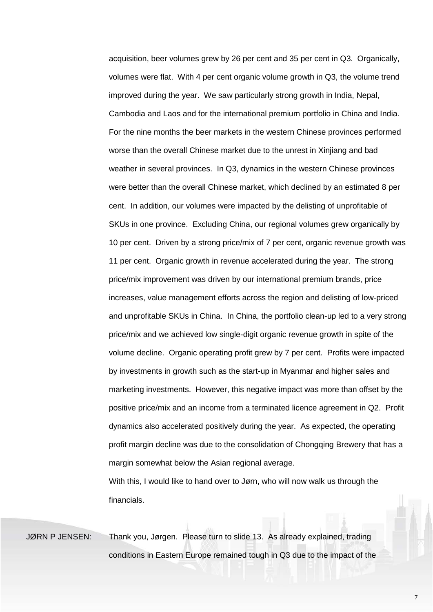acquisition, beer volumes grew by 26 per cent and 35 per cent in Q3. Organically, volumes were flat. With 4 per cent organic volume growth in Q3, the volume trend improved during the year. We saw particularly strong growth in India, Nepal, Cambodia and Laos and for the international premium portfolio in China and India. For the nine months the beer markets in the western Chinese provinces performed worse than the overall Chinese market due to the unrest in Xinjiang and bad weather in several provinces. In Q3, dynamics in the western Chinese provinces were better than the overall Chinese market, which declined by an estimated 8 per cent. In addition, our volumes were impacted by the delisting of unprofitable of SKUs in one province. Excluding China, our regional volumes grew organically by 10 per cent. Driven by a strong price/mix of 7 per cent, organic revenue growth was 11 per cent. Organic growth in revenue accelerated during the year. The strong price/mix improvement was driven by our international premium brands, price increases, value management efforts across the region and delisting of low-priced and unprofitable SKUs in China. In China, the portfolio clean-up led to a very strong price/mix and we achieved low single-digit organic revenue growth in spite of the volume decline. Organic operating profit grew by 7 per cent. Profits were impacted by investments in growth such as the start-up in Myanmar and higher sales and marketing investments. However, this negative impact was more than offset by the positive price/mix and an income from a terminated licence agreement in Q2. Profit dynamics also accelerated positively during the year. As expected, the operating profit margin decline was due to the consolidation of Chongqing Brewery that has a margin somewhat below the Asian regional average.

With this, I would like to hand over to Jørn, who will now walk us through the financials.

JØRN P JENSEN: Thank you, Jørgen. Please turn to slide 13. As already explained, trading conditions in Eastern Europe remained tough in Q3 due to the impact of the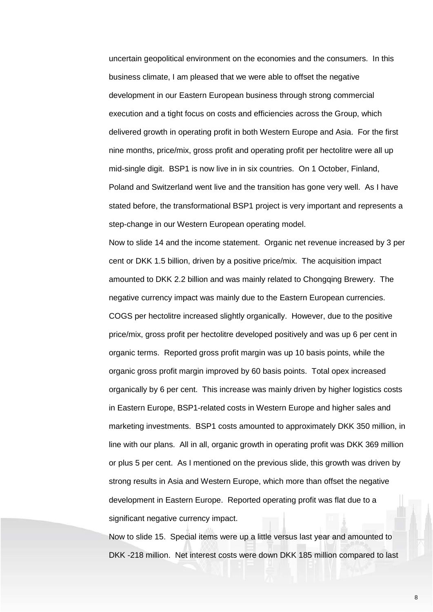uncertain geopolitical environment on the economies and the consumers. In this business climate, I am pleased that we were able to offset the negative development in our Eastern European business through strong commercial execution and a tight focus on costs and efficiencies across the Group, which delivered growth in operating profit in both Western Europe and Asia. For the first nine months, price/mix, gross profit and operating profit per hectolitre were all up mid-single digit. BSP1 is now live in in six countries. On 1 October, Finland, Poland and Switzerland went live and the transition has gone very well. As I have stated before, the transformational BSP1 project is very important and represents a step-change in our Western European operating model.

Now to slide 14 and the income statement. Organic net revenue increased by 3 per cent or DKK 1.5 billion, driven by a positive price/mix. The acquisition impact amounted to DKK 2.2 billion and was mainly related to Chongqing Brewery. The negative currency impact was mainly due to the Eastern European currencies. COGS per hectolitre increased slightly organically. However, due to the positive price/mix, gross profit per hectolitre developed positively and was up 6 per cent in organic terms. Reported gross profit margin was up 10 basis points, while the organic gross profit margin improved by 60 basis points. Total opex increased organically by 6 per cent. This increase was mainly driven by higher logistics costs in Eastern Europe, BSP1-related costs in Western Europe and higher sales and marketing investments. BSP1 costs amounted to approximately DKK 350 million, in line with our plans. All in all, organic growth in operating profit was DKK 369 million or plus 5 per cent. As I mentioned on the previous slide, this growth was driven by strong results in Asia and Western Europe, which more than offset the negative development in Eastern Europe. Reported operating profit was flat due to a significant negative currency impact.

Now to slide 15. Special items were up a little versus last year and amounted to DKK -218 million. Net interest costs were down DKK 185 million compared to last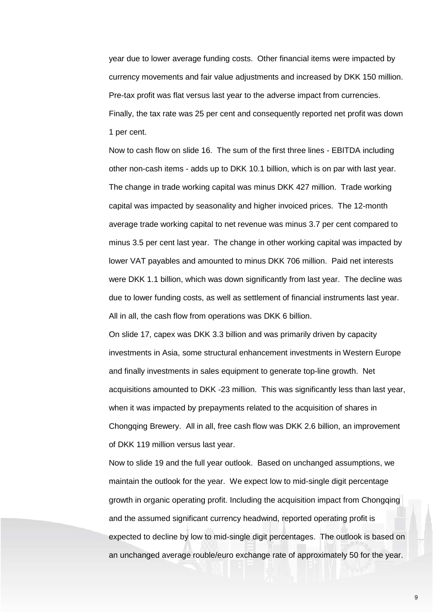year due to lower average funding costs. Other financial items were impacted by currency movements and fair value adjustments and increased by DKK 150 million. Pre-tax profit was flat versus last year to the adverse impact from currencies. Finally, the tax rate was 25 per cent and consequently reported net profit was down 1 per cent.

Now to cash flow on slide 16. The sum of the first three lines - EBITDA including other non-cash items - adds up to DKK 10.1 billion, which is on par with last year. The change in trade working capital was minus DKK 427 million. Trade working capital was impacted by seasonality and higher invoiced prices. The 12-month average trade working capital to net revenue was minus 3.7 per cent compared to minus 3.5 per cent last year. The change in other working capital was impacted by lower VAT payables and amounted to minus DKK 706 million. Paid net interests were DKK 1.1 billion, which was down significantly from last year. The decline was due to lower funding costs, as well as settlement of financial instruments last year. All in all, the cash flow from operations was DKK 6 billion.

On slide 17, capex was DKK 3.3 billion and was primarily driven by capacity investments in Asia, some structural enhancement investments in Western Europe and finally investments in sales equipment to generate top-line growth. Net acquisitions amounted to DKK -23 million. This was significantly less than last year, when it was impacted by prepayments related to the acquisition of shares in Chongqing Brewery. All in all, free cash flow was DKK 2.6 billion, an improvement of DKK 119 million versus last year.

Now to slide 19 and the full year outlook. Based on unchanged assumptions, we maintain the outlook for the year. We expect low to mid-single digit percentage growth in organic operating profit. Including the acquisition impact from Chongqing and the assumed significant currency headwind, reported operating profit is expected to decline by low to mid-single digit percentages. The outlook is based on an unchanged average rouble/euro exchange rate of approximately 50 for the year.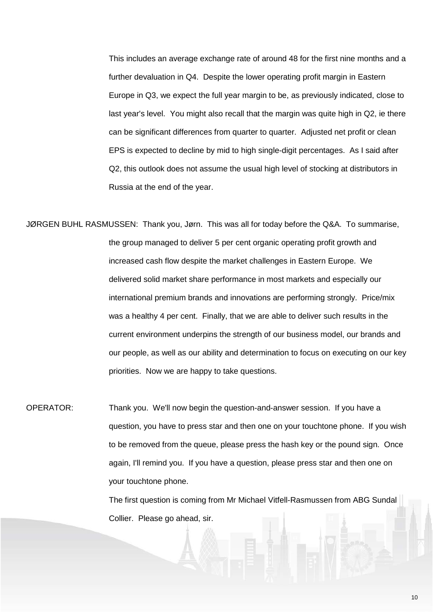This includes an average exchange rate of around 48 for the first nine months and a further devaluation in Q4. Despite the lower operating profit margin in Eastern Europe in Q3, we expect the full year margin to be, as previously indicated, close to last year's level. You might also recall that the margin was quite high in Q2, ie there can be significant differences from quarter to quarter. Adjusted net profit or clean EPS is expected to decline by mid to high single-digit percentages. As I said after Q2, this outlook does not assume the usual high level of stocking at distributors in Russia at the end of the year.

JØRGEN BUHL RASMUSSEN: Thank you, Jørn. This was all for today before the Q&A. To summarise, the group managed to deliver 5 per cent organic operating profit growth and increased cash flow despite the market challenges in Eastern Europe. We delivered solid market share performance in most markets and especially our international premium brands and innovations are performing strongly. Price/mix was a healthy 4 per cent. Finally, that we are able to deliver such results in the current environment underpins the strength of our business model, our brands and our people, as well as our ability and determination to focus on executing on our key priorities. Now we are happy to take questions.

OPERATOR: Thank you. We'll now begin the question-and-answer session. If you have a question, you have to press star and then one on your touchtone phone. If you wish to be removed from the queue, please press the hash key or the pound sign. Once again, I'll remind you. If you have a question, please press star and then one on your touchtone phone.

> The first question is coming from Mr Michael Vitfell-Rasmussen from ABG Sundal Collier. Please go ahead, sir.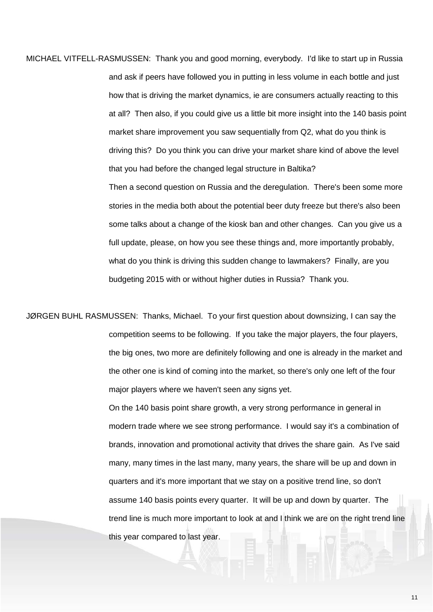MICHAEL VITFELL-RASMUSSEN: Thank you and good morning, everybody. I'd like to start up in Russia and ask if peers have followed you in putting in less volume in each bottle and just how that is driving the market dynamics, ie are consumers actually reacting to this at all? Then also, if you could give us a little bit more insight into the 140 basis point market share improvement you saw sequentially from Q2, what do you think is driving this? Do you think you can drive your market share kind of above the level that you had before the changed legal structure in Baltika?

> Then a second question on Russia and the deregulation. There's been some more stories in the media both about the potential beer duty freeze but there's also been some talks about a change of the kiosk ban and other changes. Can you give us a full update, please, on how you see these things and, more importantly probably, what do you think is driving this sudden change to lawmakers? Finally, are you budgeting 2015 with or without higher duties in Russia? Thank you.

JØRGEN BUHL RASMUSSEN: Thanks, Michael. To your first question about downsizing, I can say the competition seems to be following. If you take the major players, the four players, the big ones, two more are definitely following and one is already in the market and the other one is kind of coming into the market, so there's only one left of the four major players where we haven't seen any signs yet.

> On the 140 basis point share growth, a very strong performance in general in modern trade where we see strong performance. I would say it's a combination of brands, innovation and promotional activity that drives the share gain. As I've said many, many times in the last many, many years, the share will be up and down in quarters and it's more important that we stay on a positive trend line, so don't assume 140 basis points every quarter. It will be up and down by quarter. The trend line is much more important to look at and I think we are on the right trend line this year compared to last year.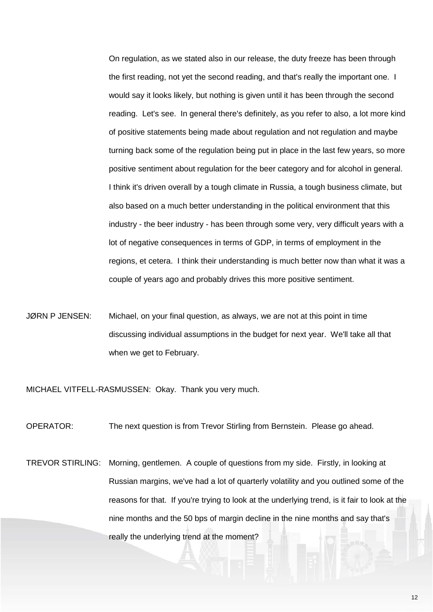On regulation, as we stated also in our release, the duty freeze has been through the first reading, not yet the second reading, and that's really the important one. I would say it looks likely, but nothing is given until it has been through the second reading. Let's see. In general there's definitely, as you refer to also, a lot more kind of positive statements being made about regulation and not regulation and maybe turning back some of the regulation being put in place in the last few years, so more positive sentiment about regulation for the beer category and for alcohol in general. I think it's driven overall by a tough climate in Russia, a tough business climate, but also based on a much better understanding in the political environment that this industry - the beer industry - has been through some very, very difficult years with a lot of negative consequences in terms of GDP, in terms of employment in the regions, et cetera. I think their understanding is much better now than what it was a couple of years ago and probably drives this more positive sentiment.

JØRN P JENSEN: Michael, on your final question, as always, we are not at this point in time discussing individual assumptions in the budget for next year. We'll take all that when we get to February.

MICHAEL VITFELL-RASMUSSEN: Okay. Thank you very much.

OPERATOR: The next question is from Trevor Stirling from Bernstein. Please go ahead.

TREVOR STIRLING: Morning, gentlemen. A couple of questions from my side. Firstly, in looking at Russian margins, we've had a lot of quarterly volatility and you outlined some of the reasons for that. If you're trying to look at the underlying trend, is it fair to look at the nine months and the 50 bps of margin decline in the nine months and say that's really the underlying trend at the moment?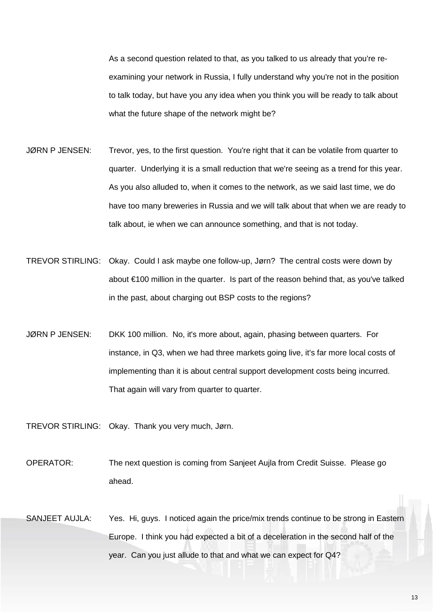As a second question related to that, as you talked to us already that you're reexamining your network in Russia, I fully understand why you're not in the position to talk today, but have you any idea when you think you will be ready to talk about what the future shape of the network might be?

- JØRN P JENSEN: Trevor, yes, to the first question. You're right that it can be volatile from quarter to quarter. Underlying it is a small reduction that we're seeing as a trend for this year. As you also alluded to, when it comes to the network, as we said last time, we do have too many breweries in Russia and we will talk about that when we are ready to talk about, ie when we can announce something, and that is not today.
- TREVOR STIRLING: Okay. Could I ask maybe one follow-up, Jørn? The central costs were down by about €100 million in the quarter. Is part of the reason behind that, as you've talked in the past, about charging out BSP costs to the regions?
- JØRN P JENSEN: DKK 100 million. No, it's more about, again, phasing between quarters. For instance, in Q3, when we had three markets going live, it's far more local costs of implementing than it is about central support development costs being incurred. That again will vary from quarter to quarter.
- TREVOR STIRLING: Okay. Thank you very much, Jørn.
- OPERATOR: The next question is coming from Sanjeet Aujla from Credit Suisse. Please go ahead.
- SANJEET AUJLA: Yes. Hi, guys. I noticed again the price/mix trends continue to be strong in Eastern Europe. I think you had expected a bit of a deceleration in the second half of the year. Can you just allude to that and what we can expect for Q4?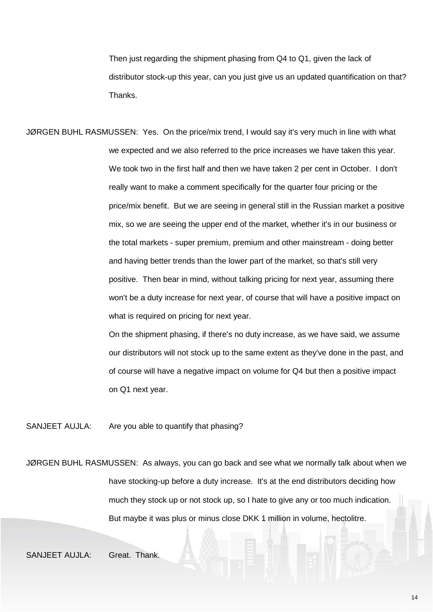Then just regarding the shipment phasing from Q4 to Q1, given the lack of distributor stock-up this year, can you just give us an updated quantification on that? Thanks.

JØRGEN BUHL RASMUSSEN: Yes. On the price/mix trend, I would say it's very much in line with what we expected and we also referred to the price increases we have taken this year. We took two in the first half and then we have taken 2 per cent in October. I don't really want to make a comment specifically for the quarter four pricing or the price/mix benefit. But we are seeing in general still in the Russian market a positive mix, so we are seeing the upper end of the market, whether it's in our business or the total markets - super premium, premium and other mainstream - doing better and having better trends than the lower part of the market, so that's still very positive. Then bear in mind, without talking pricing for next year, assuming there won't be a duty increase for next year, of course that will have a positive impact on what is required on pricing for next year.

> On the shipment phasing, if there's no duty increase, as we have said, we assume our distributors will not stock up to the same extent as they've done in the past, and of course will have a negative impact on volume for Q4 but then a positive impact on Q1 next year.

SANJEET AUJLA: Are you able to quantify that phasing?

JØRGEN BUHL RASMUSSEN: As always, you can go back and see what we normally talk about when we have stocking-up before a duty increase. It's at the end distributors deciding how much they stock up or not stock up, so I hate to give any or too much indication. But maybe it was plus or minus close DKK 1 million in volume, hectolitre.

SANJEET AUJLA: Great. Thank.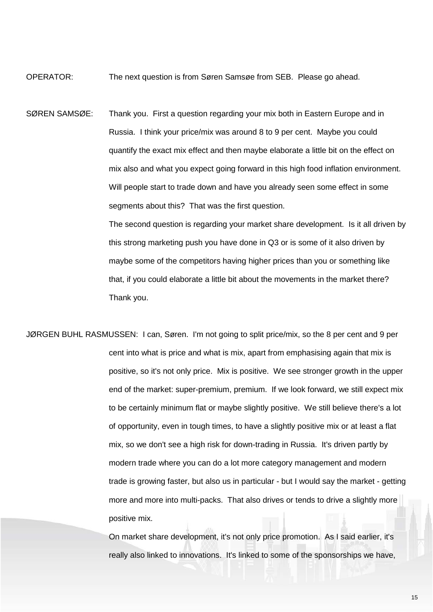OPERATOR: The next question is from Søren Samsøe from SEB. Please go ahead.

SØREN SAMSØE: Thank you. First a question regarding your mix both in Eastern Europe and in Russia. I think your price/mix was around 8 to 9 per cent. Maybe you could quantify the exact mix effect and then maybe elaborate a little bit on the effect on mix also and what you expect going forward in this high food inflation environment. Will people start to trade down and have you already seen some effect in some segments about this? That was the first question. The second question is regarding your market share development. Is it all driven by this strong marketing push you have done in Q3 or is some of it also driven by

> maybe some of the competitors having higher prices than you or something like that, if you could elaborate a little bit about the movements in the market there? Thank you.

JØRGEN BUHL RASMUSSEN: I can, Søren. I'm not going to split price/mix, so the 8 per cent and 9 per cent into what is price and what is mix, apart from emphasising again that mix is positive, so it's not only price. Mix is positive. We see stronger growth in the upper end of the market: super-premium, premium. If we look forward, we still expect mix to be certainly minimum flat or maybe slightly positive. We still believe there's a lot of opportunity, even in tough times, to have a slightly positive mix or at least a flat mix, so we don't see a high risk for down-trading in Russia. It's driven partly by modern trade where you can do a lot more category management and modern trade is growing faster, but also us in particular - but I would say the market - getting more and more into multi-packs. That also drives or tends to drive a slightly more positive mix.

> On market share development, it's not only price promotion. As I said earlier, it's really also linked to innovations. It's linked to some of the sponsorships we have,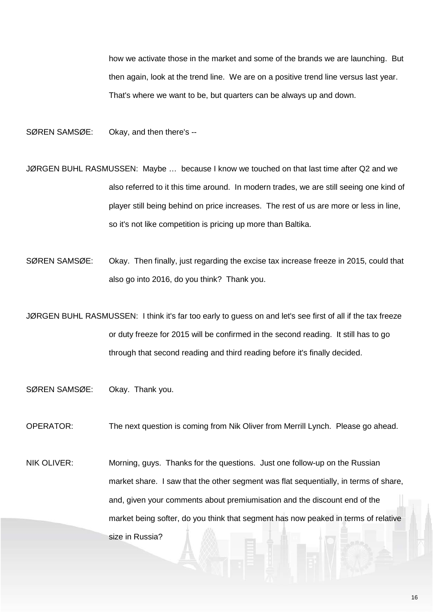how we activate those in the market and some of the brands we are launching. But then again, look at the trend line. We are on a positive trend line versus last year. That's where we want to be, but quarters can be always up and down.

SØREN SAMSØE: Okay, and then there's --

- JØRGEN BUHL RASMUSSEN: Maybe … because I know we touched on that last time after Q2 and we also referred to it this time around. In modern trades, we are still seeing one kind of player still being behind on price increases. The rest of us are more or less in line, so it's not like competition is pricing up more than Baltika.
- SØREN SAMSØE: Okay. Then finally, just regarding the excise tax increase freeze in 2015, could that also go into 2016, do you think? Thank you.
- JØRGEN BUHL RASMUSSEN: I think it's far too early to guess on and let's see first of all if the tax freeze or duty freeze for 2015 will be confirmed in the second reading. It still has to go through that second reading and third reading before it's finally decided.
- SØREN SAMSØE: Okay. Thank you.
- OPERATOR: The next question is coming from Nik Oliver from Merrill Lynch. Please go ahead.
- NIK OLIVER: Morning, guys. Thanks for the questions. Just one follow-up on the Russian market share. I saw that the other segment was flat sequentially, in terms of share, and, given your comments about premiumisation and the discount end of the market being softer, do you think that segment has now peaked in terms of relative size in Russia?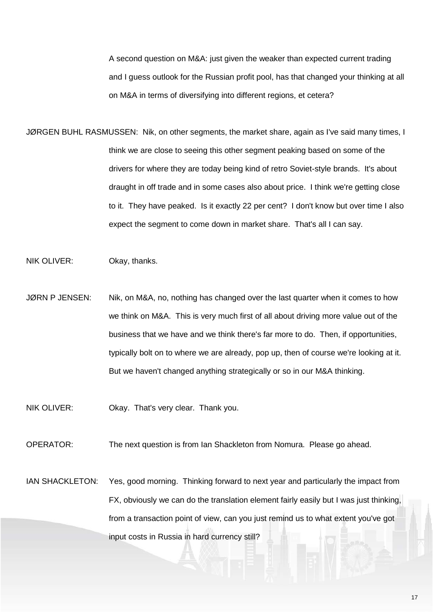A second question on M&A: just given the weaker than expected current trading and I guess outlook for the Russian profit pool, has that changed your thinking at all on M&A in terms of diversifying into different regions, et cetera?

- JØRGEN BUHL RASMUSSEN: Nik, on other segments, the market share, again as I've said many times, I think we are close to seeing this other segment peaking based on some of the drivers for where they are today being kind of retro Soviet-style brands. It's about draught in off trade and in some cases also about price. I think we're getting close to it. They have peaked. Is it exactly 22 per cent? I don't know but over time I also expect the segment to come down in market share. That's all I can say.
- NIK OLIVER: Okay, thanks.
- JØRN P JENSEN: Nik, on M&A, no, nothing has changed over the last quarter when it comes to how we think on M&A. This is very much first of all about driving more value out of the business that we have and we think there's far more to do. Then, if opportunities, typically bolt on to where we are already, pop up, then of course we're looking at it. But we haven't changed anything strategically or so in our M&A thinking.
- NIK OLIVER: Okay. That's very clear. Thank you.
- OPERATOR: The next question is from Ian Shackleton from Nomura. Please go ahead.
- IAN SHACKLETON: Yes, good morning. Thinking forward to next year and particularly the impact from FX, obviously we can do the translation element fairly easily but I was just thinking, from a transaction point of view, can you just remind us to what extent you've got input costs in Russia in hard currency still?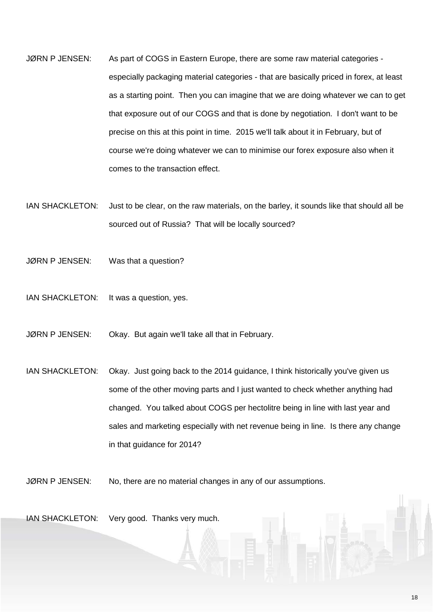- JØRN P JENSEN: As part of COGS in Eastern Europe, there are some raw material categories especially packaging material categories - that are basically priced in forex, at least as a starting point. Then you can imagine that we are doing whatever we can to get that exposure out of our COGS and that is done by negotiation. I don't want to be precise on this at this point in time. 2015 we'll talk about it in February, but of course we're doing whatever we can to minimise our forex exposure also when it comes to the transaction effect.
- IAN SHACKLETON: Just to be clear, on the raw materials, on the barley, it sounds like that should all be sourced out of Russia? That will be locally sourced?
- JØRN P JENSEN: Was that a question?
- IAN SHACKLETON: It was a question, yes.
- JØRN P JENSEN: Okay. But again we'll take all that in February.
- IAN SHACKLETON: Okay. Just going back to the 2014 guidance, I think historically you've given us some of the other moving parts and I just wanted to check whether anything had changed. You talked about COGS per hectolitre being in line with last year and sales and marketing especially with net revenue being in line. Is there any change in that guidance for 2014?

JØRN P JENSEN: No, there are no material changes in any of our assumptions.

IAN SHACKLETON: Very good. Thanks very much.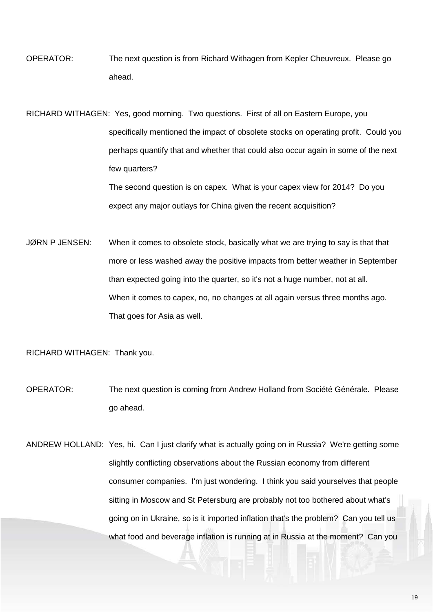OPERATOR: The next question is from Richard Withagen from Kepler Cheuvreux. Please go ahead.

RICHARD WITHAGEN: Yes, good morning. Two questions. First of all on Eastern Europe, you specifically mentioned the impact of obsolete stocks on operating profit. Could you perhaps quantify that and whether that could also occur again in some of the next few quarters? The second question is on capex. What is your capex view for 2014? Do you

expect any major outlays for China given the recent acquisition?

JØRN P JENSEN: When it comes to obsolete stock, basically what we are trying to say is that that more or less washed away the positive impacts from better weather in September than expected going into the quarter, so it's not a huge number, not at all. When it comes to capex, no, no changes at all again versus three months ago. That goes for Asia as well.

RICHARD WITHAGEN: Thank you.

OPERATOR: The next question is coming from Andrew Holland from Société Générale. Please go ahead.

ANDREW HOLLAND: Yes, hi. Can I just clarify what is actually going on in Russia? We're getting some slightly conflicting observations about the Russian economy from different consumer companies. I'm just wondering. I think you said yourselves that people sitting in Moscow and St Petersburg are probably not too bothered about what's going on in Ukraine, so is it imported inflation that's the problem? Can you tell us what food and beverage inflation is running at in Russia at the moment? Can you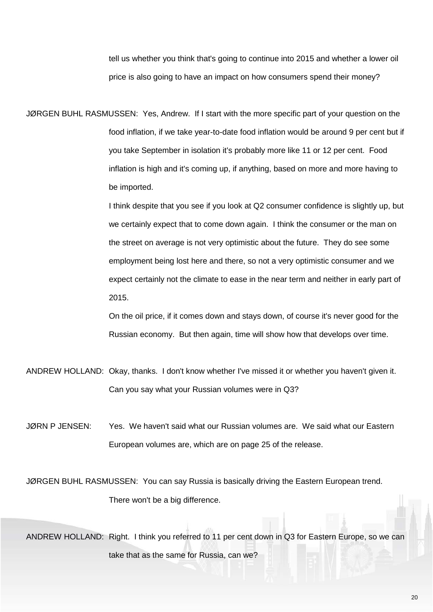tell us whether you think that's going to continue into 2015 and whether a lower oil price is also going to have an impact on how consumers spend their money?

JØRGEN BUHL RASMUSSEN: Yes, Andrew. If I start with the more specific part of your question on the food inflation, if we take year-to-date food inflation would be around 9 per cent but if you take September in isolation it's probably more like 11 or 12 per cent. Food inflation is high and it's coming up, if anything, based on more and more having to be imported.

> I think despite that you see if you look at Q2 consumer confidence is slightly up, but we certainly expect that to come down again. I think the consumer or the man on the street on average is not very optimistic about the future. They do see some employment being lost here and there, so not a very optimistic consumer and we expect certainly not the climate to ease in the near term and neither in early part of 2015.

On the oil price, if it comes down and stays down, of course it's never good for the Russian economy. But then again, time will show how that develops over time.

- ANDREW HOLLAND: Okay, thanks. I don't know whether I've missed it or whether you haven't given it. Can you say what your Russian volumes were in Q3?
- JØRN P JENSEN: Yes. We haven't said what our Russian volumes are. We said what our Eastern European volumes are, which are on page 25 of the release.

JØRGEN BUHL RASMUSSEN: You can say Russia is basically driving the Eastern European trend. There won't be a big difference.

ANDREW HOLLAND: Right. I think you referred to 11 per cent down in Q3 for Eastern Europe, so we can take that as the same for Russia, can we?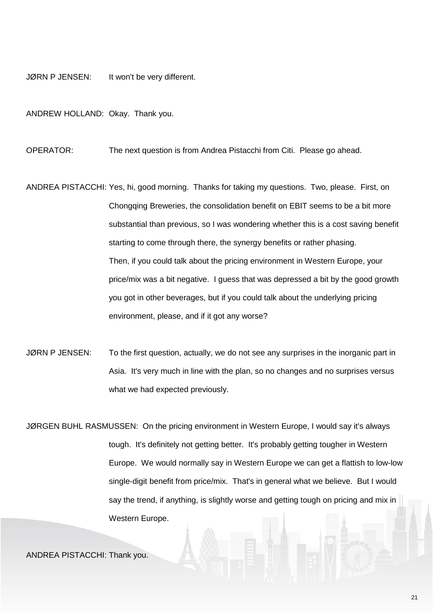JØRN P JENSEN: It won't be very different.

ANDREW HOLLAND: Okay. Thank you.

OPERATOR: The next question is from Andrea Pistacchi from Citi. Please go ahead.

ANDREA PISTACCHI: Yes, hi, good morning. Thanks for taking my questions. Two, please. First, on Chongqing Breweries, the consolidation benefit on EBIT seems to be a bit more substantial than previous, so I was wondering whether this is a cost saving benefit starting to come through there, the synergy benefits or rather phasing. Then, if you could talk about the pricing environment in Western Europe, your price/mix was a bit negative. I guess that was depressed a bit by the good growth you got in other beverages, but if you could talk about the underlying pricing environment, please, and if it got any worse?

JØRN P JENSEN: To the first question, actually, we do not see any surprises in the inorganic part in Asia. It's very much in line with the plan, so no changes and no surprises versus what we had expected previously.

JØRGEN BUHL RASMUSSEN: On the pricing environment in Western Europe, I would say it's always tough. It's definitely not getting better. It's probably getting tougher in Western Europe. We would normally say in Western Europe we can get a flattish to low-low single-digit benefit from price/mix. That's in general what we believe. But I would say the trend, if anything, is slightly worse and getting tough on pricing and mix in Western Europe.

ANDREA PISTACCHI: Thank you.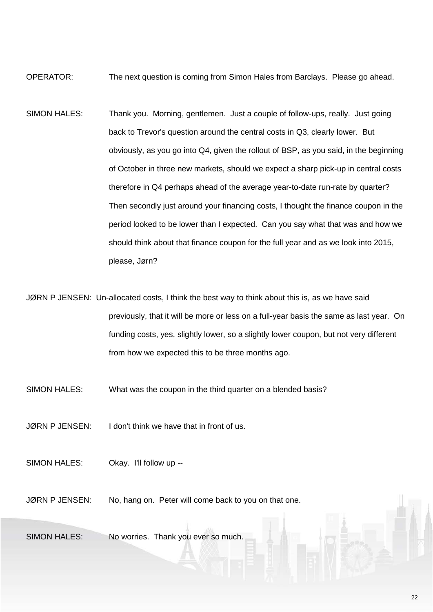OPERATOR: The next question is coming from Simon Hales from Barclays. Please go ahead.

SIMON HALES: Thank you. Morning, gentlemen. Just a couple of follow-ups, really. Just going back to Trevor's question around the central costs in Q3, clearly lower. But obviously, as you go into Q4, given the rollout of BSP, as you said, in the beginning of October in three new markets, should we expect a sharp pick-up in central costs therefore in Q4 perhaps ahead of the average year-to-date run-rate by quarter? Then secondly just around your financing costs, I thought the finance coupon in the period looked to be lower than I expected. Can you say what that was and how we should think about that finance coupon for the full year and as we look into 2015, please, Jørn?

JØRN P JENSEN: Un-allocated costs, I think the best way to think about this is, as we have said previously, that it will be more or less on a full-year basis the same as last year. On funding costs, yes, slightly lower, so a slightly lower coupon, but not very different from how we expected this to be three months ago.

SIMON HALES: What was the coupon in the third quarter on a blended basis?

JØRN P JENSEN: I don't think we have that in front of us.

SIMON HALES: Okay. I'll follow up --

JØRN P JENSEN: No, hang on. Peter will come back to you on that one.

SIMON HALES: No worries. Thank you ever so much.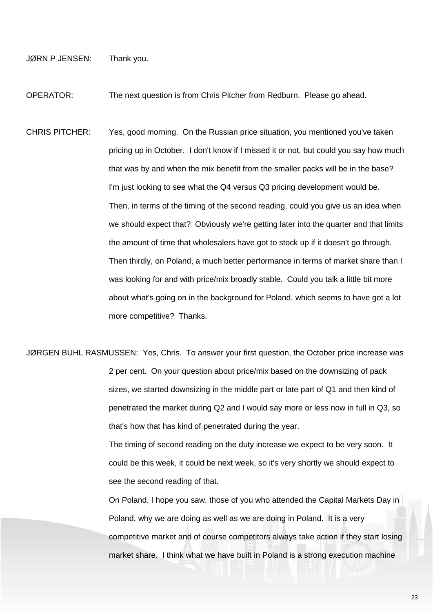JØRN P JENSEN: Thank you.

OPERATOR: The next question is from Chris Pitcher from Redburn. Please go ahead.

- CHRIS PITCHER: Yes, good morning. On the Russian price situation, you mentioned you've taken pricing up in October. I don't know if I missed it or not, but could you say how much that was by and when the mix benefit from the smaller packs will be in the base? I'm just looking to see what the Q4 versus Q3 pricing development would be. Then, in terms of the timing of the second reading, could you give us an idea when we should expect that? Obviously we're getting later into the quarter and that limits the amount of time that wholesalers have got to stock up if it doesn't go through. Then thirdly, on Poland, a much better performance in terms of market share than I was looking for and with price/mix broadly stable. Could you talk a little bit more about what's going on in the background for Poland, which seems to have got a lot more competitive? Thanks.
- JØRGEN BUHL RASMUSSEN: Yes, Chris. To answer your first question, the October price increase was 2 per cent. On your question about price/mix based on the downsizing of pack sizes, we started downsizing in the middle part or late part of Q1 and then kind of penetrated the market during Q2 and I would say more or less now in full in Q3, so that's how that has kind of penetrated during the year.

The timing of second reading on the duty increase we expect to be very soon. It could be this week, it could be next week, so it's very shortly we should expect to see the second reading of that.

On Poland, I hope you saw, those of you who attended the Capital Markets Day in Poland, why we are doing as well as we are doing in Poland. It is a very competitive market and of course competitors always take action if they start losing market share. I think what we have built in Poland is a strong execution machine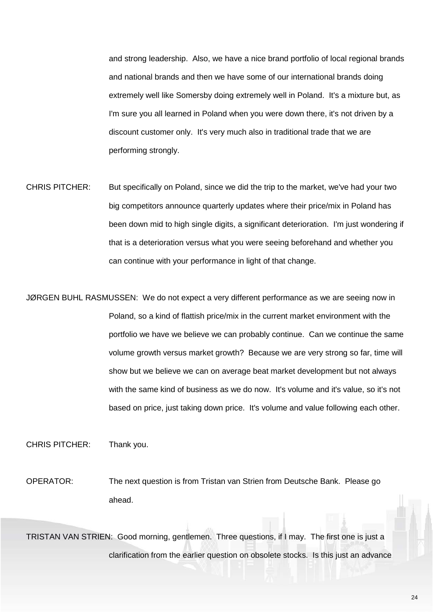and strong leadership. Also, we have a nice brand portfolio of local regional brands and national brands and then we have some of our international brands doing extremely well like Somersby doing extremely well in Poland. It's a mixture but, as I'm sure you all learned in Poland when you were down there, it's not driven by a discount customer only. It's very much also in traditional trade that we are performing strongly.

CHRIS PITCHER: But specifically on Poland, since we did the trip to the market, we've had your two big competitors announce quarterly updates where their price/mix in Poland has been down mid to high single digits, a significant deterioration. I'm just wondering if that is a deterioration versus what you were seeing beforehand and whether you can continue with your performance in light of that change.

JØRGEN BUHL RASMUSSEN: We do not expect a very different performance as we are seeing now in Poland, so a kind of flattish price/mix in the current market environment with the portfolio we have we believe we can probably continue. Can we continue the same volume growth versus market growth? Because we are very strong so far, time will show but we believe we can on average beat market development but not always with the same kind of business as we do now. It's volume and it's value, so it's not based on price, just taking down price. It's volume and value following each other.

CHRIS PITCHER: Thank you.

OPERATOR: The next question is from Tristan van Strien from Deutsche Bank. Please go ahead.

TRISTAN VAN STRIEN: Good morning, gentlemen. Three questions, if I may. The first one is just a clarification from the earlier question on obsolete stocks. Is this just an advance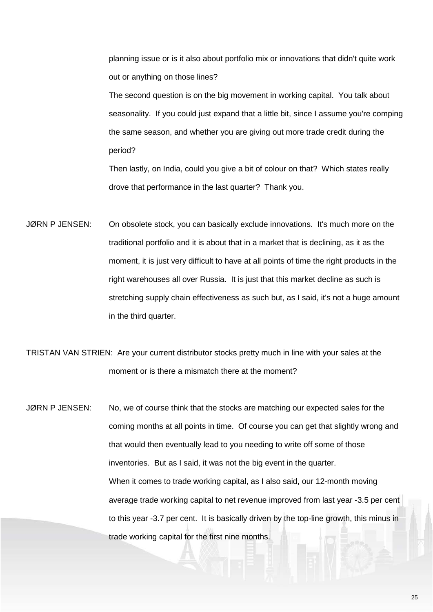planning issue or is it also about portfolio mix or innovations that didn't quite work out or anything on those lines?

The second question is on the big movement in working capital. You talk about seasonality. If you could just expand that a little bit, since I assume you're comping the same season, and whether you are giving out more trade credit during the period?

Then lastly, on India, could you give a bit of colour on that? Which states really drove that performance in the last quarter? Thank you.

JØRN P JENSEN: On obsolete stock, you can basically exclude innovations. It's much more on the traditional portfolio and it is about that in a market that is declining, as it as the moment, it is just very difficult to have at all points of time the right products in the right warehouses all over Russia. It is just that this market decline as such is stretching supply chain effectiveness as such but, as I said, it's not a huge amount in the third quarter.

TRISTAN VAN STRIEN: Are your current distributor stocks pretty much in line with your sales at the moment or is there a mismatch there at the moment?

JØRN P JENSEN: No, we of course think that the stocks are matching our expected sales for the coming months at all points in time. Of course you can get that slightly wrong and that would then eventually lead to you needing to write off some of those inventories. But as I said, it was not the big event in the quarter. When it comes to trade working capital, as I also said, our 12-month moving average trade working capital to net revenue improved from last year -3.5 per cent to this year -3.7 per cent. It is basically driven by the top-line growth, this minus in trade working capital for the first nine months.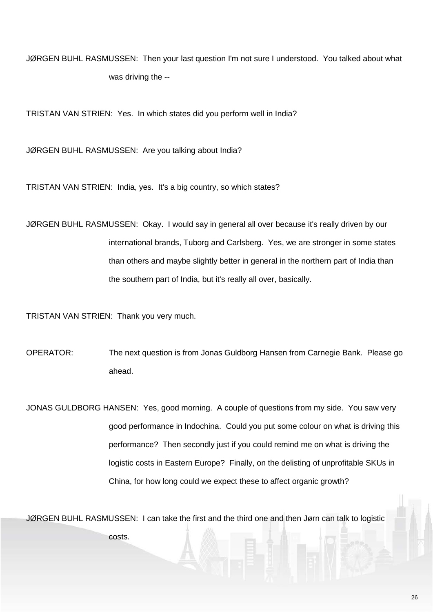JØRGEN BUHL RASMUSSEN: Then your last question I'm not sure I understood. You talked about what was driving the --

TRISTAN VAN STRIEN: Yes. In which states did you perform well in India?

JØRGEN BUHL RASMUSSEN: Are you talking about India?

TRISTAN VAN STRIEN: India, yes. It's a big country, so which states?

JØRGEN BUHL RASMUSSEN: Okay. I would say in general all over because it's really driven by our international brands, Tuborg and Carlsberg. Yes, we are stronger in some states than others and maybe slightly better in general in the northern part of India than the southern part of India, but it's really all over, basically.

TRISTAN VAN STRIEN: Thank you very much.

OPERATOR: The next question is from Jonas Guldborg Hansen from Carnegie Bank. Please go ahead.

JONAS GULDBORG HANSEN: Yes, good morning. A couple of questions from my side. You saw very good performance in Indochina. Could you put some colour on what is driving this performance? Then secondly just if you could remind me on what is driving the logistic costs in Eastern Europe? Finally, on the delisting of unprofitable SKUs in China, for how long could we expect these to affect organic growth?

JØRGEN BUHL RASMUSSEN: I can take the first and the third one and then Jørn can talk to logistic

costs.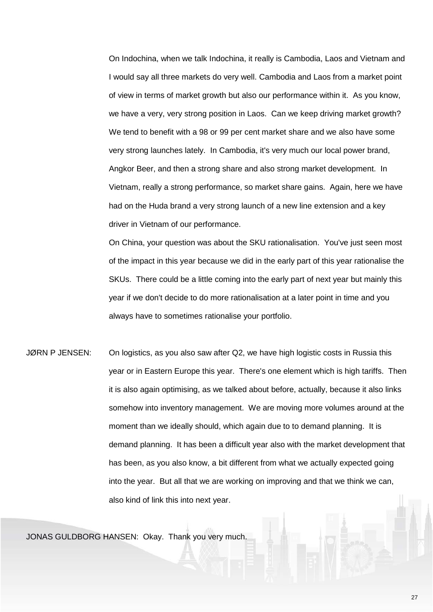On Indochina, when we talk Indochina, it really is Cambodia, Laos and Vietnam and I would say all three markets do very well. Cambodia and Laos from a market point of view in terms of market growth but also our performance within it. As you know, we have a very, very strong position in Laos. Can we keep driving market growth? We tend to benefit with a 98 or 99 per cent market share and we also have some very strong launches lately. In Cambodia, it's very much our local power brand, Angkor Beer, and then a strong share and also strong market development. In Vietnam, really a strong performance, so market share gains. Again, here we have had on the Huda brand a very strong launch of a new line extension and a key driver in Vietnam of our performance.

On China, your question was about the SKU rationalisation. You've just seen most of the impact in this year because we did in the early part of this year rationalise the SKUs. There could be a little coming into the early part of next year but mainly this year if we don't decide to do more rationalisation at a later point in time and you always have to sometimes rationalise your portfolio.

JØRN P JENSEN: On logistics, as you also saw after Q2, we have high logistic costs in Russia this year or in Eastern Europe this year. There's one element which is high tariffs. Then it is also again optimising, as we talked about before, actually, because it also links somehow into inventory management. We are moving more volumes around at the moment than we ideally should, which again due to to demand planning. It is demand planning. It has been a difficult year also with the market development that has been, as you also know, a bit different from what we actually expected going into the year. But all that we are working on improving and that we think we can, also kind of link this into next year.

JONAS GULDBORG HANSEN: Okay. Thank you very much.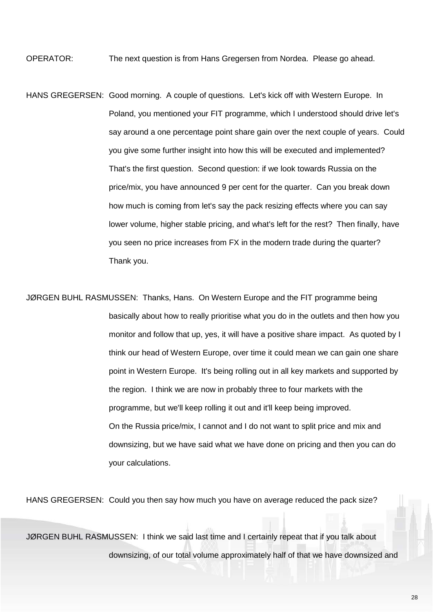OPERATOR: The next question is from Hans Gregersen from Nordea. Please go ahead.

HANS GREGERSEN: Good morning. A couple of questions. Let's kick off with Western Europe. In Poland, you mentioned your FIT programme, which I understood should drive let's say around a one percentage point share gain over the next couple of years. Could you give some further insight into how this will be executed and implemented? That's the first question. Second question: if we look towards Russia on the price/mix, you have announced 9 per cent for the quarter. Can you break down how much is coming from let's say the pack resizing effects where you can say lower volume, higher stable pricing, and what's left for the rest? Then finally, have you seen no price increases from FX in the modern trade during the quarter? Thank you.

JØRGEN BUHL RASMUSSEN: Thanks, Hans. On Western Europe and the FIT programme being basically about how to really prioritise what you do in the outlets and then how you monitor and follow that up, yes, it will have a positive share impact. As quoted by I think our head of Western Europe, over time it could mean we can gain one share point in Western Europe. It's being rolling out in all key markets and supported by the region. I think we are now in probably three to four markets with the programme, but we'll keep rolling it out and it'll keep being improved. On the Russia price/mix, I cannot and I do not want to split price and mix and downsizing, but we have said what we have done on pricing and then you can do your calculations.

HANS GREGERSEN: Could you then say how much you have on average reduced the pack size?

JØRGEN BUHL RASMUSSEN: I think we said last time and I certainly repeat that if you talk about downsizing, of our total volume approximately half of that we have downsized and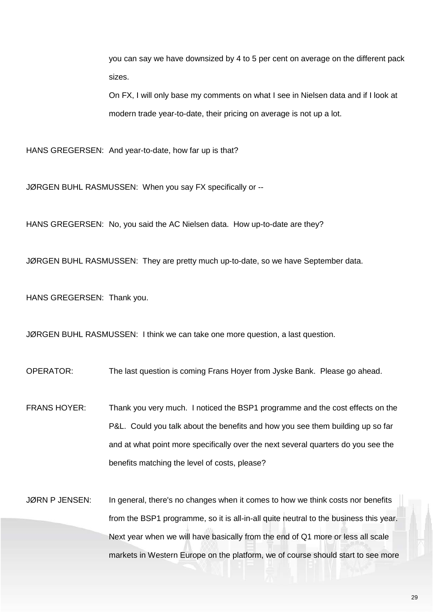you can say we have downsized by 4 to 5 per cent on average on the different pack sizes.

On FX, I will only base my comments on what I see in Nielsen data and if I look at modern trade year-to-date, their pricing on average is not up a lot.

HANS GREGERSEN: And year-to-date, how far up is that?

JØRGEN BUHL RASMUSSEN: When you say FX specifically or --

HANS GREGERSEN: No, you said the AC Nielsen data. How up-to-date are they?

JØRGEN BUHL RASMUSSEN: They are pretty much up-to-date, so we have September data.

HANS GREGERSEN: Thank you.

JØRGEN BUHL RASMUSSEN: I think we can take one more question, a last question.

OPERATOR: The last question is coming Frans Hoyer from Jyske Bank. Please go ahead.

FRANS HOYER: Thank you very much. I noticed the BSP1 programme and the cost effects on the P&L. Could you talk about the benefits and how you see them building up so far and at what point more specifically over the next several quarters do you see the benefits matching the level of costs, please?

JØRN P JENSEN: In general, there's no changes when it comes to how we think costs nor benefits from the BSP1 programme, so it is all-in-all quite neutral to the business this year. Next year when we will have basically from the end of Q1 more or less all scale markets in Western Europe on the platform, we of course should start to see more